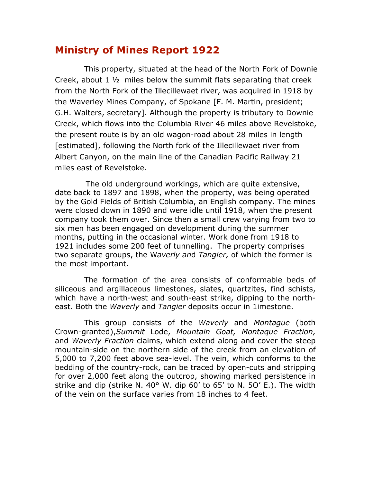## **Ministry of Mines Report 1922**

This property, situated at the head of the North Fork of Downie Creek, about 1 ½ miles below the summit flats separating that creek from the North Fork of the Illecillewaet river, was acquired in 1918 by the Waverley Mines Company, of Spokane [F. M. Martin, president; G.H. Walters, secretary]. Although the property is tributary to Downie Creek, which flows into the Columbia River 46 miles above Revelstoke, the present route is by an old wagon-road about 28 miles in length [estimated], following the North fork of the Illecillewaet river from Albert Canyon, on the main line of the Canadian Pacific Railway 21 miles east of Revelstoke.

The old underground workings, which are quite extensive, date back to 1897 and 1898, when the property, was being operated by the Gold Fields of British Columbia, an English company. The mines were closed down in 1890 and were idle until 1918, when the present company took them over. Since then a small crew varying from two to six men has been engaged on development during the summer months, putting in the occasional winter. Work done from 1918 to 1921 includes some 200 feet of tunnelling. The property comprises two separate groups, the W*averly an*d *Tangier,* of which the former is the most important.

The formation of the area consists of conformable beds of siliceous and argillaceous limestones, slates, quartzites, find schists, which have a north-west and south-east strike, dipping to the northeast. Both the *Waverly* and *Tangier* deposits occur in 1imestone.

This group consists of the *Waverly* and *Montague* (both Crown-granted),*Summit* Lode, *Mountain Goat, Montaque Fraction,*  and *Waverly Fraction* claims, which extend along and cover the steep mountain-side on the northern side of the creek from an elevation of 5,000 to 7,200 feet above sea-level. The vein, which conforms to the bedding of the country-rock, can be traced by open-cuts and stripping for over 2,000 feet along the outcrop, showing marked persistence in strike and dip (strike N. 40 $\degree$  W. dip 60' to 65' to N. 50' E.). The width of the vein on the surface varies from 18 inches to 4 feet.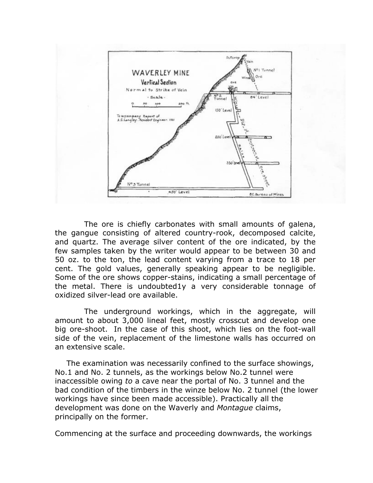

The ore is chiefly carbonates with small amounts of galena, the gangue consisting of altered country-rook, decomposed calcite, and quartz. The average silver content of the ore indicated, by the few samples taken by the writer would appear to be between 30 and 50 oz. to the ton, the lead content varying from a trace to 18 per cent. The gold values, generally speaking appear to be negligible. Some of the ore shows copper-stains, indicating a small percentage of the metal. There is undoubted1y a very considerable tonnage of oxidized silver-lead ore available.

The underground workings, which in the aggregate, will amount to about 3,000 lineal feet, mostly crosscut and develop one big ore-shoot. In the case of this shoot, which lies on the foot-wall side of the vein, replacement of the limestone walls has occurred on an extensive scale.

The examination was necessarily confined to the surface showings, No.1 and No. 2 tunnels, as the workings below No.2 tunnel were inaccessible owing *to* a cave near the portal of No. 3 tunnel and the bad condition of the timbers in the winze below No. 2 tunnel (the lower workings have since been made accessible). Practically all the development was done on the Waverly and *Montague* claims, principally on the former.

Commencing at the surface and proceeding downwards, the workings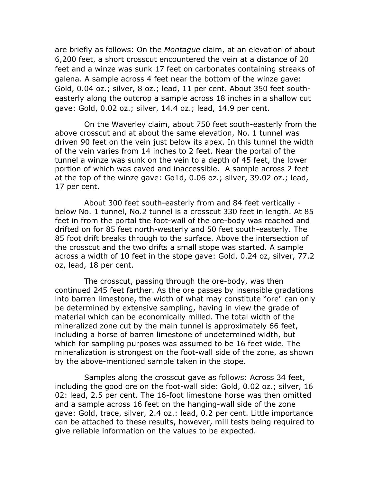are briefly as follows: On the *Montague* claim, at an elevation of about 6,200 feet, a short crosscut encountered the vein at a distance of 20 feet and a winze was sunk 17 feet on carbonates containing streaks of galena. A sample across 4 feet near the bottom of the winze gave: Gold, 0.04 oz.; silver, 8 oz.; lead, 11 per cent. About 350 feet southeasterly along the outcrop a sample across 18 inches in a shallow cut gave: Gold, 0.02 oz.; silver, 14.4 oz.; lead, 14.9 per cent.

On the Waverley claim, about 750 feet south-easterly from the above crosscut and at about the same elevation, No. 1 tunnel was driven 90 feet on the vein just below its apex. In this tunnel the width of the vein varies from 14 inches to 2 feet. Near the portal of the tunnel a winze was sunk on the vein to a depth of 45 feet, the lower portion of which was caved and inaccessible. A sample across 2 feet at the top of the winze gave: Go1d, 0.06 oz.; silver, 39.02 oz.; lead, 17 per cent.

About 300 feet south-easterly from and 84 feet vertically below No. 1 tunnel, No.2 tunnel is a crosscut 330 feet in length. At 85 feet in from the portal the foot-wall of the ore-body was reached and drifted on for 85 feet north-westerly and 50 feet south-easterly. The 85 foot drift breaks through to the surface. Above the intersection of the crosscut and the two drifts a small stope was started. A sample across a width of 10 feet in the stope gave: Gold, 0.24 oz, silver, 77.2 oz, lead, 18 per cent.

The crosscut, passing through the ore-body, was then continued 245 feet farther. As the ore passes by insensible gradations into barren limestone, the width of what may constitute "ore" can only be determined by extensive sampling, having in view the grade of material which can be economically milled. The total width of the mineralized zone cut by the main tunnel is approximately 66 feet, including a horse of barren limestone of undetermined width, but which for sampling purposes was assumed to be 16 feet wide. The mineralization is strongest on the foot-wall side of the zone, as shown by the above-mentioned sample taken in the stope.

Samples along the crosscut gave as follows: Across 34 feet, including the good ore on the foot-wall side: Gold, 0.02 oz.; silver, 16 02: lead, 2.5 per cent. The 16-foot limestone horse was then omitted and a sample across 16 feet on the hanging-wall side of the zone gave: Gold, trace, silver, 2.4 oz.: lead, 0.2 per cent. Little importance can be attached to these results, however, mill tests being required to give reliable information on the values to be expected.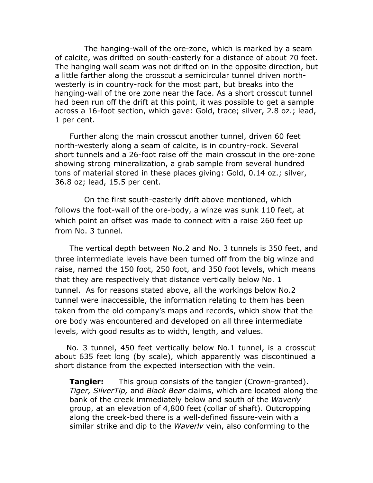The hanging-wall of the ore-zone, which is marked by a seam of calcite, was drifted on south-easterly for a distance of about 70 feet. The hanging wall seam was not drifted on in the opposite direction, but a little farther along the crosscut a semicircular tunnel driven northwesterly is in country-rock for the most part, but breaks into the hanging-wall of the ore zone near the face. As a short crosscut tunnel had been run off the drift at this point, it was possible to get a sample across a 16-foot section, which gave: Gold, trace; silver, 2.8 oz.; lead, 1 per cent.

Further along the main crosscut another tunnel, driven 60 feet north-westerly along a seam of calcite, is in country-rock. Several short tunnels and a 26-foot raise off the main crosscut in the ore-zone showing strong mineralization, a grab sample from several hundred tons of material stored in these places giving: Gold, 0.14 oz.; silver, 36.8 oz; lead, 15.5 per cent.

On the first south-easterly drift above mentioned, which follows the foot-wall of the ore-body, a winze was sunk 110 feet, at which point an offset was made to connect with a raise 260 feet up from No. 3 tunnel.

The vertical depth between No.2 and No. 3 tunnels is 350 feet, and three intermediate levels have been turned off from the big winze and raise, named the 150 foot, 250 foot, and 350 foot levels, which means that they are respectively that distance vertically below No. 1 tunnel. As for reasons stated above, all the workings below No.2 tunnel were inaccessible, the information relating to them has been taken from the old company's maps and records, which show that the ore body was encountered and developed on all three intermediate levels, with good results as to width, length, and values.

No. 3 tunnel, 450 feet vertically below No.1 tunnel, is a crosscut about 635 feet long (by scale), which apparently was discontinued a short distance from the expected intersection with the vein.

**Tangier:** This group consists of the tangier (Crown-granted). *Tiger, SilverTip,* and *Black Bear* claims, which are located along the bank of the creek immediately below and south of the *Waverly*  group, at an elevation of 4,800 feet (collar of shaft). Outcropping along the creek-bed there is a well-defined fissure-vein with a similar strike and dip to the *Waverlv* vein, also conforming to the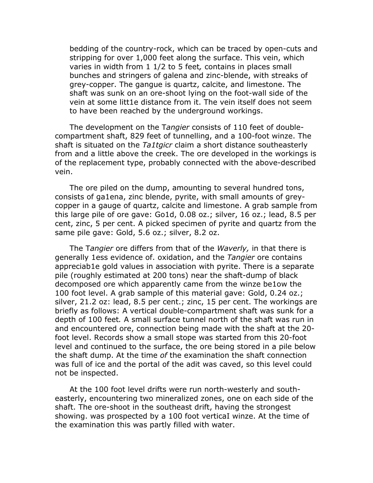bedding of the country-rock, which can be traced by open-cuts and stripping for over 1,000 feet along the surface. This vein, which varies in width from 1 1/2 to 5 feet*,* contains in places small bunches and stringers of galena and zinc-blende, with streaks of grey-copper. The gangue is quartz, calcite, and limestone. The shaft was sunk on an ore-shoot lying on the foot-wall side of the vein at some litt1e distance from it. The vein itself does not seem to have been reached by the underground workings.

The development on the T*angier* consists of 110 feet of doublecompartment shaft, 829 feet of tunnelling, and a 100-foot winze. The shaft is situated on the *Ta1tgicr* claim a short distance southeasterly from and a little above the creek. The ore developed in the workings is of the replacement type, probably connected with the above-described vein.

The ore piled on the dump, amounting to several hundred tons, consists of ga1ena, zinc blende, pyrite, with small amounts of greycopper in a gauge of quartz, calcite and limestone. A grab sample from this large pile of ore gave: Go1d, 0.08 oz.; silver, 16 oz.; lead, 8.5 per cent, zinc, 5 per cent. A picked specimen of pyrite and quartz from the same pile gave: Gold, 5.6 oz.; silver, 8.2 oz.

The T*angier* ore differs from that of the *Waverly,* in that there is generally 1ess evidence of. oxidation, and the *Tangier* ore contains appreciab1e gold values in association with pyrite. There is a separate pile (roughly estimated at 200 tons) near the shaft-dump of black decomposed ore which apparently came from the winze be1ow the 100 foot level. A grab sample of this material gave: Gold, 0.24 oz.; silver, 21.2 oz: lead, 8.5 per cent.; zinc, 15 per cent. The workings are briefly as follows: A vertical double-compartment shaft was sunk for a depth of 100 feet*.* A small surface tunnel north of the shaft was run in and encountered ore, connection being made with the shaft at the 20 foot level. Records show a small stope was started from this 20-foot level and continued to the surface, the ore being stored in a pile below the shaft dump. At the time *of* the examination the shaft connection was full of ice and the portal of the adit was caved, so this level could not be inspected.

At the 100 foot level drifts were run north-westerly and southeasterly, encountering two mineralized zones, one on each side of the shaft. The ore-shoot in the southeast drift, having the strongest showing. was prospected by a 100 foot verticaI winze. At the time of the examination this was partly filled with water.